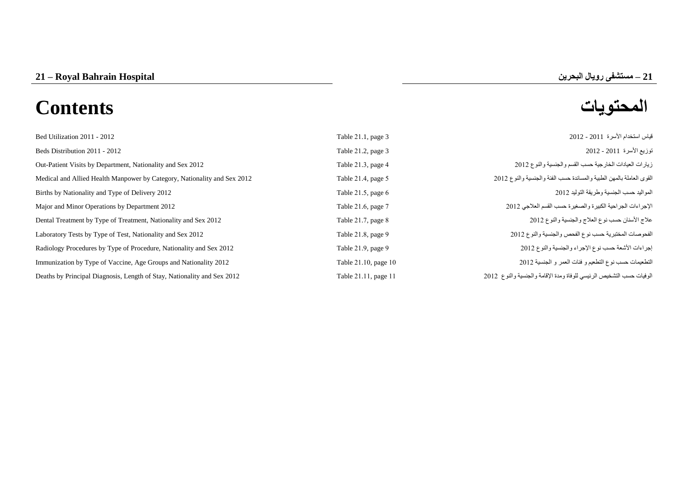# **المحتويات Contents**

| Bed Utilization 2011 - 2012                                              | Table 21.1, page 3   | قياس استخدام الأسرة  2011 - 2012                                     |
|--------------------------------------------------------------------------|----------------------|----------------------------------------------------------------------|
| Beds Distribution 2011 - 2012                                            | Table 21.2, page 3   | نوزيع الأسرة 2011 - 2012                                             |
| Out-Patient Visits by Department, Nationality and Sex 2012               | Table 21.3, page 4   | زيارات العيادات الخارجية حسب القسم والجنسية والنوع 2012              |
| Medical and Allied Health Manpower by Category, Nationality and Sex 2012 | Table 21.4, page 5   | القوى العاملة بالمهن الطبية والمساندة حسب الفئة والجنسية والنوع 2012 |
| Births by Nationality and Type of Delivery 2012                          | Table 21.5, page 6   | المواليد حسب الجنسية وطريقة التوليد 2012                             |
| Major and Minor Operations by Department 2012                            | Table 21.6, page 7   | الإجراءات الجراحية الكبيرة والصغيرة حسب القسم العلاجي 2012           |
| Dental Treatment by Type of Treatment, Nationality and Sex 2012          | Table 21.7, page 8   | علاج الأسنان حسب نوع العلاج والجنسية والنوع 2012                     |
| Laboratory Tests by Type of Test, Nationality and Sex 2012               | Table 21.8, page 9   | الفحوصات المختبرية حسب نوع الفحص والجنسية والنوع 2012                |
| Radiology Procedures by Type of Procedure, Nationality and Sex 2012      | Table 21.9, page 9   | إجراءات الأشعة حسب نوع الإجراء والجنسية والنوع 2012                  |
| Immunization by Type of Vaccine, Age Groups and Nationality 2012         | Table 21.10, page 10 | التطعيمات حسب نوع التطعيم و فئات العمر و الجنسية 2012                |
| Deaths by Principal Diagnosis, Length of Stay, Nationality and Sex 2012  | Table 21.11, page 11 | الوفيات حسب التشخيص الرئيسي للوفاة ومدة الإقامة والجنسية والنوع 2012 |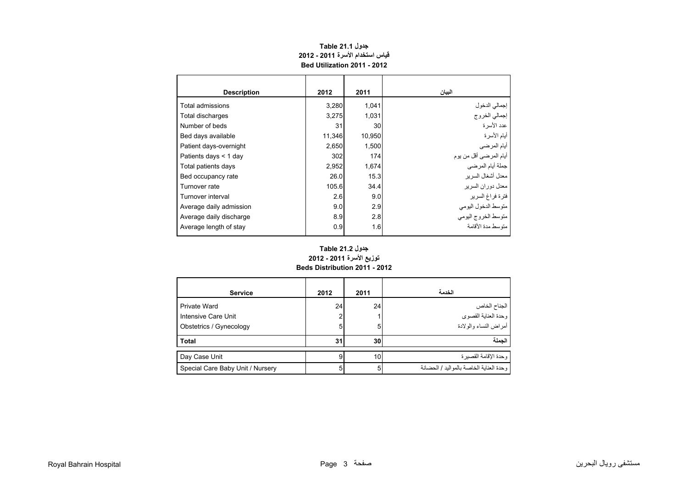<span id="page-1-0"></span>

| <b>Description</b>      | 2012   | 2011   | البيان                  |
|-------------------------|--------|--------|-------------------------|
| Total admissions        | 3,280  | 1,041  | إجمالي الدخول           |
| Total discharges        | 3,275  | 1,031  | إجمالي الخروج           |
| Number of beds          | 31     | 30     | عدد الأسر ة             |
| Bed days available      | 11,346 | 10,950 | أيام الأسرة             |
| Patient days-overnight  | 2,650  | 1,500  | أيام المرضى             |
| Patients days $<$ 1 day | 302    | 174    | أيام المرضىي أقل من يوم |
| Total patients days     | 2,952  | 1,674  | جملة أيام المرضى        |
| Bed occupancy rate      | 26.0   | 15.3   | معدل أشغال السر بر      |
| Turnover rate           | 105.6  | 34.4   | معدل دور ان السر بر     |
| Turnover interval       | 2.6    | 9.0    | فترة فراغ السرير        |
| Average daily admission | 9.0    | 2.9    | متوسط الدخول اليومي     |
| Average daily discharge | 8.9    | 2.8    | متوسط الخروج اليومي     |
| Average length of stay  | 0.9    | 1.6    | متوسط مدة الأقامة       |

# **جدول 21.1 Table قياس استخدام األسرة 2011 - 2012 Bed Utilization 2011 - 2012**

### **Beds Distribution 2011 - 2012 جدول 21.2 Table توزيع األسرة 2011 - 2012**

| <b>Service</b>                   | 2012 | 2011            | الخدمة                                  |
|----------------------------------|------|-----------------|-----------------------------------------|
| Private Ward                     | 24   | 24              | الجناح الخاص<br>وحدة العناية القصوي     |
| Intensive Care Unit              | 2    |                 |                                         |
| Obstetrics / Gynecology          | 5    | 5               | -<br>أمراض النساء والولادة              |
| <b>Total</b>                     | 31   | 30              | الحملة                                  |
| Day Case Unit                    | 9    | 10 <sub>1</sub> | وحدة الإقامة القصبر ة                   |
| Special Care Baby Unit / Nursery | 5    | 5               | وحدة العناية الخاصة بالمواليد / الحضانة |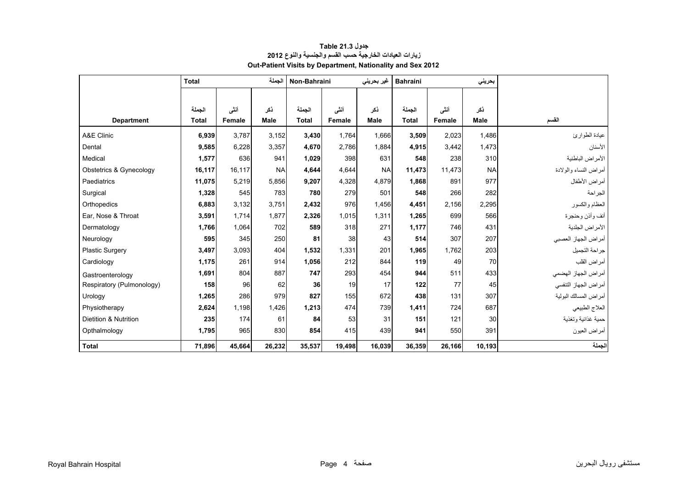<span id="page-2-0"></span>

|                           | <b>Total</b> |        |             | Non-Bahraini |        | غیر بحرینی  | <b>Bahraini</b> |        | بحريني      |                       |
|---------------------------|--------------|--------|-------------|--------------|--------|-------------|-----------------|--------|-------------|-----------------------|
|                           |              |        |             |              |        |             |                 |        |             |                       |
|                           | الحملة       | أننس   | ذكر         | الجملة       | أننى   | ذكر         | الجملة          | أنشى   | ذكر         |                       |
| <b>Department</b>         | <b>Total</b> | Female | <b>Male</b> | <b>Total</b> | Female | <b>Male</b> | <b>Total</b>    | Female | <b>Male</b> | القسم                 |
| A&E Clinic                | 6,939        | 3,787  | 3,152       | 3,430        | 1.764  | 1,666       | 3,509           | 2,023  | 1,486       | عيادة الطوارئ         |
| Dental                    | 9,585        | 6,228  | 3,357       | 4,670        | 2,786  | 1,884       | 4,915           | 3,442  | 1,473       | الأسنان               |
| Medical                   | 1,577        | 636    | 941         | 1,029        | 398    | 631         | 548             | 238    | 310         | الأمراض الباطنية      |
| Obstetrics & Gynecology   | 16,117       | 16,117 | <b>NA</b>   | 4,644        | 4,644  | <b>NA</b>   | 11,473          | 11,473 | <b>NA</b>   | أمراض النساء والولادة |
| Paediatrics               | 11,075       | 5,219  | 5,856       | 9,207        | 4,328  | 4.879       | 1,868           | 891    | 977         | أمراض الأطفال         |
| Surgical                  | 1,328        | 545    | 783         | 780          | 279    | 501         | 548             | 266    | 282         | الجر احة              |
| Orthopedics               | 6,883        | 3,132  | 3,751       | 2,432        | 976    | 1,456       | 4,451           | 2,156  | 2,295       | العظام والكسور        |
| Ear, Nose & Throat        | 3,591        | 1,714  | 1,877       | 2,326        | 1,015  | 1,311       | 1,265           | 699    | 566         | أنف وأذن وحنجرة       |
| Dermatology               | 1,766        | 1,064  | 702         | 589          | 318    | 271         | 1,177           | 746    | 431         | الأمراض الجلدية       |
| Neurology                 | 595          | 345    | 250         | 81           | 38     | 43          | 514             | 307    | 207         | أمراض الجهاز العصبي   |
| <b>Plastic Surgery</b>    | 3,497        | 3,093  | 404         | 1.532        | 1,331  | 201         | 1.965           | 1.762  | 203         | جر احة التجميل        |
| Cardiology                | 1,175        | 261    | 914         | 1,056        | 212    | 844         | 119             | 49     | 70          | أمراض القلب           |
| Gastroenterology          | 1.691        | 804    | 887         | 747          | 293    | 454         | 944             | 511    | 433         | أمراض الجهاز الهضمي   |
| Respiratory (Pulmonology) | 158          | 96     | 62          | 36           | 19     | 17          | 122             | 77     | 45          | أمراض الجهاز التنفسي  |
| Urology                   | 1,265        | 286    | 979         | 827          | 155    | 672         | 438             | 131    | 307         | أمراض المسالك البولية |
| Physiotherapy             | 2,624        | 1,198  | 1,426       | 1,213        | 474    | 739         | 1,411           | 724    | 687         | العلاج الطبيعي        |
| Dietition & Nutrition     | 235          | 174    | 61          | 84           | 53     | 31          | 151             | 121    | 30          | حمية غذائية وتغذية    |
| Opthalmology              | 1,795        | 965    | 830         | 854          | 415    | 439         | 941             | 550    | 391         | أمراض العيون          |
| <b>Total</b>              | 71,896       | 45,664 | 26,232      | 35,537       | 19,498 | 16,039      | 36,359          | 26,166 | 10,193      | الجملة                |

### **جدول 21.3 Table زيارات العيادات الخارجية حسب القسم والجنسية والنوع <sup>2012</sup> Out-Patient Visits by Department, Nationality and Sex 2012**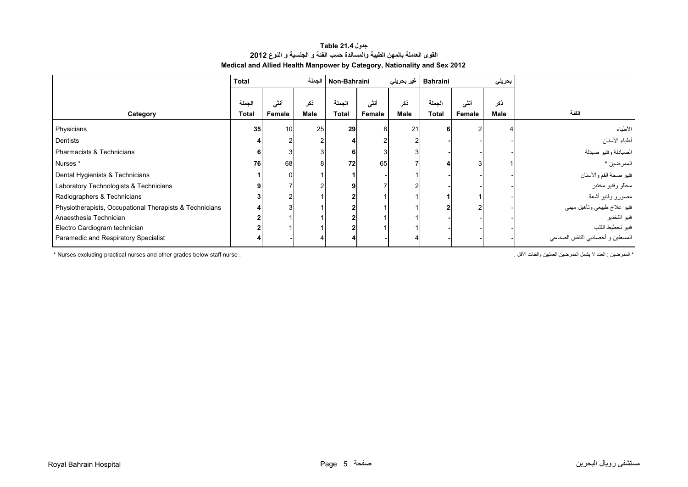# **جدول 21.4 Table القوى العاملة بالمھن الطبية والمساندة حسب الفئة <sup>و</sup> الجنسية <sup>و</sup> النوع<sup>2012</sup> Medical and Allied Health Manpower by Category, Nationality and Sex 2012**

<span id="page-3-0"></span>

|                                                         | <b>Total</b> |        | الحملة      | Non-Bahraini |        | غیر بحرینی | <b>Bahraini</b> |        | بحريني |                                   |
|---------------------------------------------------------|--------------|--------|-------------|--------------|--------|------------|-----------------|--------|--------|-----------------------------------|
|                                                         | الحملة       | أنشى   | ذكر         | الجملة       | أنشى   | ذكر        | الحملة          | أنشى   | ذكر    |                                   |
| Category                                                | Total        | Female | <b>Male</b> | <b>Total</b> | Female | Male       | <b>Total</b>    | Female | Male   | الفنة                             |
| Physicians                                              | 35           | 10     | 25          | 29           | 8      | 21         |                 |        |        | الأطباء                           |
| Dentists                                                |              |        |             |              |        |            |                 |        |        | أطباء الأسنان                     |
| Pharmacists & Technicians                               | 6            |        |             |              |        |            |                 |        |        | الصيادلة وفنيو صيدلة              |
| Nurses *                                                | 76           | 68     | 8           | 72           | 65     |            |                 |        |        | الممرضين *                        |
| Dental Hygienists & Technicians                         |              | 0      |             |              |        |            |                 |        |        | فنيو صحة الفم والأسنان            |
| Laboratory Technologists & Technicians                  |              |        |             |              |        |            |                 |        |        | محللو وفنيو مختبر                 |
| Radiographers & Technicians                             |              | 2      |             |              |        |            |                 |        |        | مصىورو وفنيو أشعة                 |
| Physiotherapists, Occupational Therapists & Technicians |              |        |             |              |        |            |                 |        |        | فنيو علاج طبيعي وتأهيل مهني       |
| Anaesthesia Technician                                  |              |        |             |              |        |            |                 |        |        | فنيو التخدير                      |
| Electro Cardiogram technician                           |              |        |             |              |        |            |                 |        |        | فنيو تخطيط القلب                  |
| Paramedic and Respiratory Specialist                    |              |        |             |              |        |            |                 |        |        | المسعفين و أخصائيي التنفس الصناعي |

\* المعرضين : العدد لا يشمل المعرضين العمليين والفئات الأقل .<br>\* Nurses excluding practical nurses and other grades below staff nurse .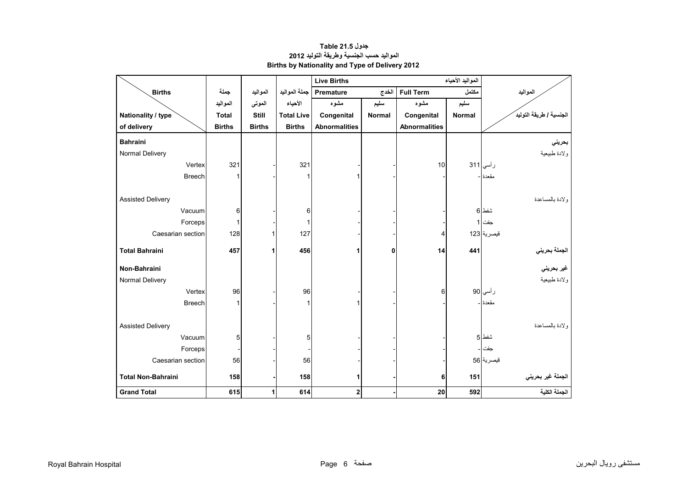<span id="page-4-0"></span>

|                           |               |               |                   | <b>Live Births</b>   |               |                      |               |                         |
|---------------------------|---------------|---------------|-------------------|----------------------|---------------|----------------------|---------------|-------------------------|
| <b>Births</b>             | جملة          | المواليد      | جملة المواليد     | <b>Premature</b>     | الخدج         | <b>Full Term</b>     | مكتمل         | المواليد                |
|                           | المواليد      | الموتى        | الأحياء           | مشوه                 | سليم          | مشوه                 | سليم          |                         |
| Nationality / type        | <b>Total</b>  | <b>Still</b>  | <b>Total Live</b> | Congenital           | <b>Normal</b> | Congenital           | <b>Normal</b> | الجنسية / طريقة التوليد |
| of delivery               | <b>Births</b> | <b>Births</b> | <b>Births</b>     | <b>Abnormalities</b> |               | <b>Abnormalities</b> |               |                         |
| <b>Bahraini</b>           |               |               |                   |                      |               |                      |               | بحريني                  |
| Normal Delivery           |               |               |                   |                      |               |                      |               | ولادة طبيعية            |
| Vertex                    | 321           |               | 321               |                      |               | 10                   |               | رأسي 311                |
| <b>Breech</b>             | 1             |               | 1                 | 1                    |               |                      |               | مقعدة                   |
|                           |               |               |                   |                      |               |                      |               |                         |
| <b>Assisted Delivery</b>  |               |               |                   |                      |               |                      |               | ولادة بالمساعدة         |
| Vacuum                    | 6             |               | 6                 |                      |               |                      |               | شفط 6                   |
| Forceps                   | 1             |               | 1                 |                      |               |                      |               | جفت 1                   |
| Caesarian section         | 128           | 1             | 127               |                      |               | 4                    |               | فيصرية 123              |
| <b>Total Bahraini</b>     | 457           | 1             | 456               | 1                    | 0             | 14                   | 441           |                         |
|                           |               |               |                   |                      |               |                      |               | الجملة بحرين <i>ي</i>   |
| Non-Bahraini              |               |               |                   |                      |               |                      |               | غير بحرين <i>ي</i>      |
| Normal Delivery           |               |               |                   |                      |               |                      |               | ولادة طبيعية            |
| Vertex                    | 96            |               | 96                |                      |               | 6                    |               | ر أسي 90                |
| <b>Breech</b>             |               |               | 1                 | 1                    |               |                      |               | مقعدة -                 |
|                           |               |               |                   |                      |               |                      |               |                         |
| <b>Assisted Delivery</b>  |               |               |                   |                      |               |                      |               | ولادة بالمساعدة         |
| Vacuum                    | 5             |               | 5                 |                      |               |                      |               | شفط 5                   |
| Forceps                   |               |               |                   |                      |               |                      |               | جفت                     |
| Caesarian section         | 56            |               | 56                |                      |               |                      |               | قيصرية 56               |
| <b>Total Non-Bahraini</b> | 158           |               | 158               | 1                    |               | 6                    | 151           | الجملة غير بحريني       |
| <b>Grand Total</b>        | 615           | 1             | 614               | 2                    |               | 20                   | 592           | الجملة الكلية           |

**جدول 21.5 Table المواليد حسب الجنسية وطريقة التوليد <sup>2012</sup> Births by Nationality and Type of Delivery 2012**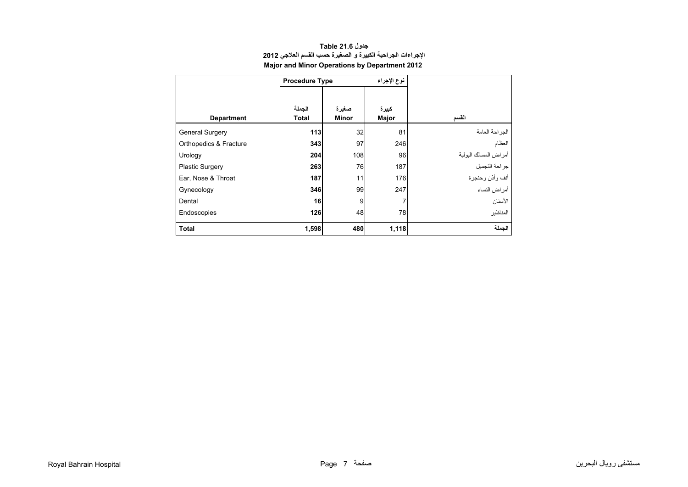<span id="page-5-0"></span>

|                        | <b>Procedure Type</b> |                | نوع الإجراء    |                       |
|------------------------|-----------------------|----------------|----------------|-----------------------|
| <b>Department</b>      | الجملة<br>Total       | صغيرة<br>Minor | كبيرة<br>Major | القسم                 |
| <b>General Surgery</b> | 113                   | 32             | 81             | الجز احة العامة       |
| Orthopedics & Fracture | 343                   | 97             | 246            | العظام                |
| Urology                | 204                   | 108            | 96             | أمراض المسالك البولية |
| <b>Plastic Surgery</b> | 263                   | 76             | 187            | جراحة التجميل         |
| Ear, Nose & Throat     | 187                   | 11             | 176            | أنف وأذن وحنجرة       |
| Gynecology             | 346                   | 99             | 247            | أمراض النساء          |
| Dental                 | 16                    | 9              | 7              | الأسنان               |
| Endoscopies            | 126                   | 48             | 78             | المناظبر              |
| <b>Total</b>           | 1,598                 | 480            | 1,118          | الجملة                |

### **جدول 21.6 Table اإلجراءات الجراحية الكبيرة <sup>و</sup> الصغيرة حسب القسم العالجي <sup>2012</sup> Major and Minor Operations by Department 2012**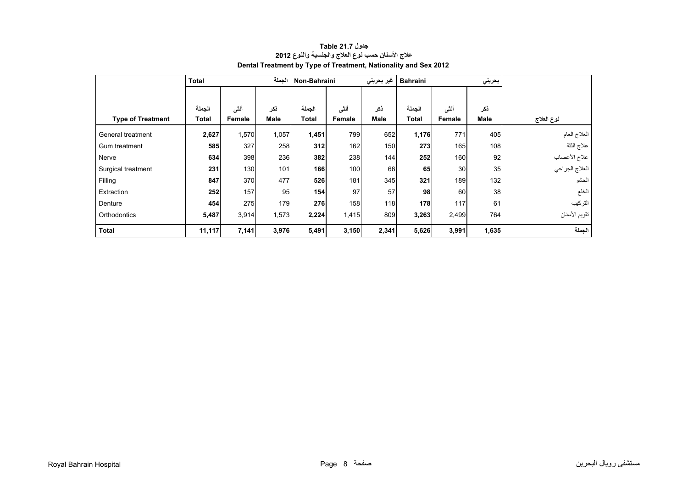<span id="page-6-0"></span>

|                          | <b>Total</b> |        | الجملة      | Non-Bahraini |        | غير بحريني  | <b>Bahraini</b> |        | بحريني      |                |
|--------------------------|--------------|--------|-------------|--------------|--------|-------------|-----------------|--------|-------------|----------------|
|                          |              |        |             |              |        |             |                 |        |             |                |
|                          | الجملة       | أنشى   | ذكر         | الجملة       | أننى   | ذكر         | الجملة          | أننى   | ذكر         |                |
| <b>Type of Treatment</b> | Total        | Female | <b>Male</b> | <b>Total</b> | Female | <b>Male</b> | <b>Total</b>    | Female | <b>Male</b> | نوع العلاج     |
| General treatment        | 2,627        | 1,570  | 1,057       | 1,451        | 799    | 652         | 1,176           | 771    | 405         | العلاج العام   |
| Gum treatment            | 585          | 327    | 258         | 312          | 162    | 150         | 273             | 165    | 108         | علاج اللثة     |
| Nerve                    | 634          | 398    | 236         | 382          | 238    | 144         | 252             | 160    | 92          | علاج الأعصاب   |
| Surgical treatment       | 231          | 130    | 101         | 166          | 100    | 66          | 65              | 30     | 35          | العلاج الجراحي |
| Filling                  | 847          | 370    | 477         | 526          | 181    | 345         | 321             | 189    | 132         | الحشو          |
| Extraction               | 252          | 157    | 95          | 154          | 97     | 57          | 98              | 60     | 38          | الخلع          |
| Denture                  | 454          | 275    | 179         | 276          | 158    | 118         | 178             | 117    | 61          | التركيب        |
| Orthodontics             | 5,487        | 3,914  | 1,573       | 2,224        | 1,415  | 809         | 3,263           | 2,499  | 764         | تقويم الأسنان  |
| <b>Total</b>             | 11,117       | 7,141  | 3,976       | 5,491        | 3,150  | 2,341       | 5,626           | 3,991  | 1,635       | الجملة         |

# **جدول 21.7 Table عالج األسنان حسب نوع العالج والجنسية والنوع <sup>2012</sup> Dental Treatment by Type of Treatment, Nationality and Sex 2012**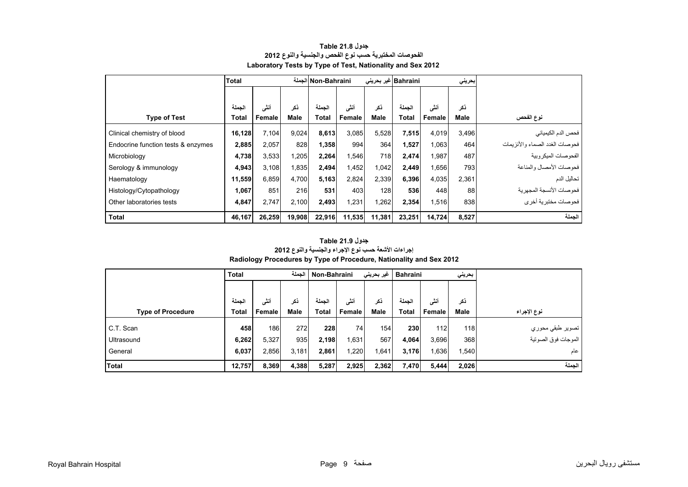<span id="page-7-0"></span>

|                                    | <b>Total</b> |        |        | Non-Bahraini الجملة |        |        | Bahraini  غیر بحرینی<br>إبحريني |        |       |                                   |
|------------------------------------|--------------|--------|--------|---------------------|--------|--------|---------------------------------|--------|-------|-----------------------------------|
|                                    |              |        |        |                     |        |        |                                 |        |       |                                   |
|                                    | الحملة       | أنشى   | ذكر    | الجملة              | أنشى   | نكر    | الجملة                          | أنشى   | ذكر   |                                   |
| <b>Type of Test</b>                | <b>Total</b> | Female | Male   | <b>Total</b>        | Female | Male   | <b>Total</b>                    | Female | Male  | نوع الفحص                         |
| Clinical chemistry of blood        | 16,128       | 7,104  | 9,024  | 8,613               | 3,085  | 5,528  | 7,515                           | 4,019  | 3,496 | فحص الدم الكيميائي                |
| Endocrine function tests & enzymes | 2,885        | 2,057  | 828    | 1,358               | 994    | 364    | 1,527                           | 1,063  | 464   | فحو صات الغدد الصماء و الأنز بمات |
| Microbiology                       | 4,738        | 3,533  | 1,205  | 2,264               | 1,546  | 718    | 2,474                           | 1,987  | 487   | الفحو صبات الميكر وبية            |
| Serology & immunology              | 4,943        | 3,108  | 1,835  | 2,494               | 1,452  | 1,042  | 2,449                           | 1,656  | 793   | فحوصات الأمصال والمناعة           |
| Haematology                        | 11,559       | 6,859  | 4,700  | 5,163               | 2,824  | 2,339  | 6,396                           | 4,035  | 2,361 | تحاليل الدم                       |
| Histology/Cytopathology            | 1,067        | 851    | 216    | 531                 | 403    | 128    | 536                             | 448    | 88    | فحو صبات الأنسجة المجهر بة        |
| Other laboratories tests           | 4,847        | 2.747  | 2,100  | 2,493               | 1,231  | ,262   | 2,354                           | 1,516  | 838   | فحو صبات مختبر بـهّ أخر ي         |
| <b>Total</b>                       | 46,167       | 26,259 | 19,908 | 22,916              | 11,535 | 11,381 | 23,251                          | 14,724 | 8,527 | الجملة                            |

#### **جدول 21.8 Table الفحوصات المختبرية حسب نوع الفحص والجنسية والنوع <sup>2012</sup> Laboratory Tests by Type of Test, Nationality and Sex 2012**

#### **جدول 21.9 Table إجراءات األشعة حسب نوع اإلجراء والجنسية والنوع <sup>2012</sup>**

#### **Radiology Procedures by Type of Procedure, Nationality and Sex 2012**

|                          | <b>Total</b> |        | الجملة      | Non-Bahraini |        | غیر بحرین <i>ی</i> | <b>Bahraini</b> |        | بحريني      |                     |
|--------------------------|--------------|--------|-------------|--------------|--------|--------------------|-----------------|--------|-------------|---------------------|
|                          |              |        |             |              |        |                    |                 |        |             |                     |
|                          | الجملة       | أنشى   | ذكر         | الجملة       | أننسى  | نكر                | الحملة          | أنشى   | ذكر         |                     |
| <b>Type of Procedure</b> | Total        | Female | <b>Male</b> | <b>Total</b> | Female | <b>Male</b>        | <b>Total</b>    | Female | <b>Male</b> | نوع الإجراء         |
| C.T. Scan                | 458          | 186    | 272         | 228          | 74     | 154                | 230             | 112    | 118         | تصوير طبقي محوري    |
| Ultrasound               | 6,262        | 5,327  | 935         | 2,198        | 1,631  | 567                | 4,064           | 3,696  | 368         | الموجات فوق الصوتية |
| General                  | 6,037        | 2,856  | 3,181       | 2,861        | 1,220  | ,641               | 3,176           | 1,636  | 1,540       | عام                 |
| <b>Total</b>             | 12,757       | 8,369  | 4,388       | 5,287        | 2,925  | 2,362              | 7,470           | 5,444  | 2,026       | الجملة              |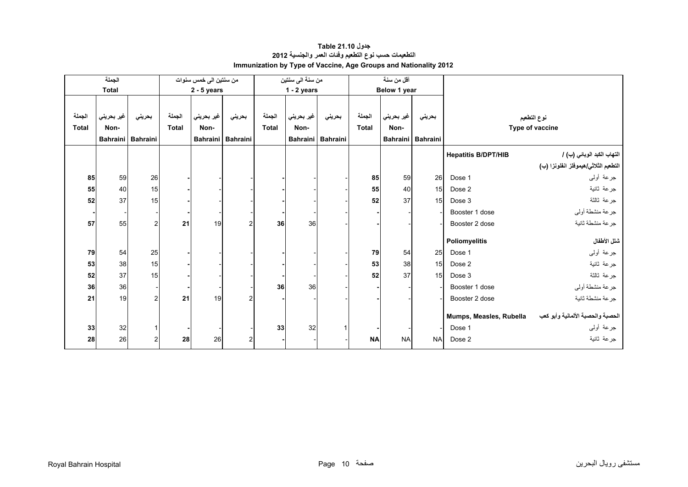<span id="page-8-0"></span>

|              | الجملة       |                   |              | من سنتين الى خمس سنوات |                     |              | من سنة الى سنتين |                   |              | أقل من سنة      |                 |                            |                                      |
|--------------|--------------|-------------------|--------------|------------------------|---------------------|--------------|------------------|-------------------|--------------|-----------------|-----------------|----------------------------|--------------------------------------|
|              | <b>Total</b> |                   |              | $2 - 5$ years          |                     |              | $1 - 2$ years    |                   |              | Below 1 year    |                 |                            |                                      |
|              |              |                   |              |                        |                     |              |                  |                   |              |                 |                 |                            |                                      |
| الجملة       | غير بحريني   | بحريني            | الجملة       | غير بحريني             | بحرينى              | الجملة       | غير بحريني       | بحريني            | الجملة       | غير بحريني      | بحريني          |                            | نوع التطعيم                          |
| <b>Total</b> | Non-         |                   | <b>Total</b> | Non-                   |                     | <b>Total</b> | Non-             |                   | <b>Total</b> | Non-            |                 |                            | Type of vaccine                      |
|              |              | Bahraini Bahraini |              |                        | Bahraini   Bahraini |              |                  | Bahraini Bahraini |              | <b>Bahraini</b> | <b>Bahraini</b> |                            |                                      |
|              |              |                   |              |                        |                     |              |                  |                   |              |                 |                 | <b>Hepatitis B/DPT/HIB</b> | التهاب الكبد الوبائي (ب) /           |
|              |              |                   |              |                        |                     |              |                  |                   |              |                 |                 |                            | التطعيم الثلاثي/هيموفلز انفلونزا (ب) |
| 85           | 59           | 26                |              |                        |                     |              |                  |                   | 85           | 59              | 26              | Dose 1                     | جرعة أولىي                           |
| 55           | 40           | 15                |              |                        |                     |              |                  |                   | 55           | 40              | 15              | Dose 2                     | جرعة ثانية                           |
| 52           | 37           | 15                |              |                        |                     |              |                  |                   | 52           | 37              | 15              | Dose 3                     | جرعة ثالثة                           |
|              |              |                   |              |                        |                     |              |                  |                   |              |                 |                 | Booster 1 dose             | جرعة منشطة أولي                      |
| 57           | 55           | $\overline{2}$    | 21           | 19                     | $\overline{2}$      | 36           | 36               |                   |              |                 |                 | Booster 2 dose             | جرعة منشطة ثانية                     |
|              |              |                   |              |                        |                     |              |                  |                   |              |                 |                 | Poliomyelitis              | شلل الأطفال                          |
| 79           | 54           | 25                |              |                        |                     |              |                  |                   | 79           | 54              | 25              | Dose 1                     | جرعة أولىي                           |
| 53           | 38           | 15                |              |                        |                     |              |                  |                   | 53           | 38              | 15              | Dose 2                     | جرعة ثانية                           |
| 52           | 37           | 15                |              |                        |                     |              |                  |                   | 52           | 37              | 15              | Dose 3                     | جرعة ثالثة                           |
| 36           | 36           |                   |              |                        |                     | 36           | 36               |                   |              |                 |                 | Booster 1 dose             | جرعة منشطة أولىي                     |
| 21           | 19           | $\overline{2}$    | 21           | 19                     | 2                   |              |                  |                   |              |                 |                 | Booster 2 dose             | جرعة منشطة ثانية                     |
|              |              |                   |              |                        |                     |              |                  |                   |              |                 |                 |                            |                                      |
|              |              |                   |              |                        |                     |              |                  |                   |              |                 |                 | Mumps, Measles, Rubella    | الحصبة والحصبة الألمانية وأبو كعب    |
| 33           | 32           |                   |              |                        |                     | 33           | 32               |                   |              |                 |                 | Dose 1                     | جرعة أولىي                           |
| 28           | 26           | 2                 | 28           | 26                     | 2                   |              |                  |                   | <b>NA</b>    | <b>NA</b>       | <b>NA</b>       | Dose 2                     | جرعة ثانية                           |

# **جدول 21.10 Table التطعيمات حسب نوع التطعيم وفئات العمر والجنسية <sup>2012</sup> Immunization by Type of Vaccine, Age Groups and Nationality 2012**